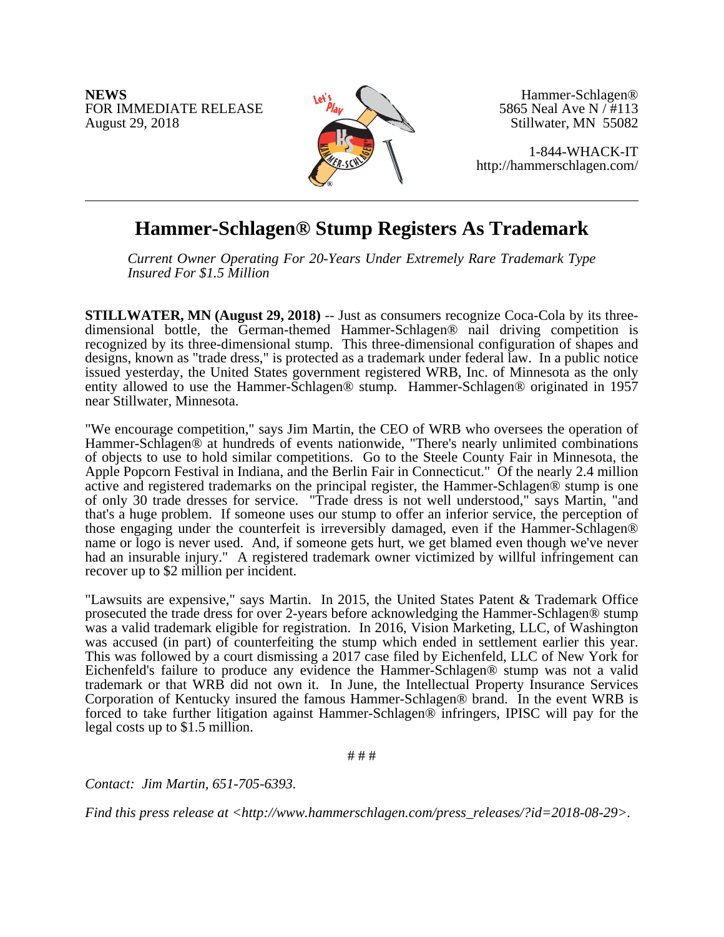**NEWS** FOR IMMEDIATE RELEASE August 29, 2018



Hammer-Schlagen® 5865 Neal Ave N / #113 Stillwater, MN 55082

1-844-WHACK-IT http://hammerschlagen.com/

## **Hammer-Schlagen® Stump Registers As Trademark**

*Current Owner Operating For 20-Years Under Extremely Rare Trademark Type Insured For \$1.5 Million*

**STILLWATER, MN (August 29, 2018)** -- Just as consumers recognize Coca-Cola by its threedimensional bottle, the German-themed Hammer-Schlagen® nail driving competition is recognized by its three-dimensional stump. This three-dimensional configuration of shapes and designs, known as "trade dress," is protected as a trademark under federal law. In a public notice issued yesterday, the United States government registered WRB, Inc. of Minnesota as the only entity allowed to use the Hammer-Schlagen® stump. Hammer-Schlagen® originated in 1957 near Stillwater, Minnesota.

"We encourage competition," says Jim Martin, the CEO of WRB who oversees the operation of Hammer-Schlagen® at hundreds of events nationwide, "There's nearly unlimited combinations of objects to use to hold similar competitions. Go to the Steele County Fair in Minnesota, the Apple Popcorn Festival in Indiana, and the Berlin Fair in Connecticut." Of the nearly 2.4 million active and registered trademarks on the principal register, the Hammer-Schlagen® stump is one of only 30 trade dresses for service. "Trade dress is not well understood," says Martin, "and that's a huge problem. If someone uses our stump to offer an inferior service, the perception of those engaging under the counterfeit is irreversibly damaged, even if the Hammer-Schlagen® name or logo is never used. And, if someone gets hurt, we get blamed even though we've never had an insurable injury." A registered trademark owner victimized by willful infringement can recover up to \$2 million per incident.

"Lawsuits are expensive," says Martin. In 2015, the United States Patent & Trademark Office prosecuted the trade dress for over 2-years before acknowledging the Hammer-Schlagen® stump was a valid trademark eligible for registration. In 2016, Vision Marketing, LLC, of Washington was accused (in part) of counterfeiting the stump which ended in settlement earlier this year. This was followed by a court dismissing a 2017 case filed by Eichenfeld, LLC of New York for Eichenfeld's failure to produce any evidence the Hammer-Schlagen® stump was not a valid trademark or that WRB did not own it. In June, the Intellectual Property Insurance Services Corporation of Kentucky insured the famous Hammer-Schlagen® brand. In the event WRB is forced to take further litigation against Hammer-Schlagen® infringers, IPISC will pay for the legal costs up to \$1.5 million.

# # #

*Contact: Jim Martin, 651-705-6393.*

*Find this press release at <http://www.hammerschlagen.com/press\_releases/?id=2018-08-29>.*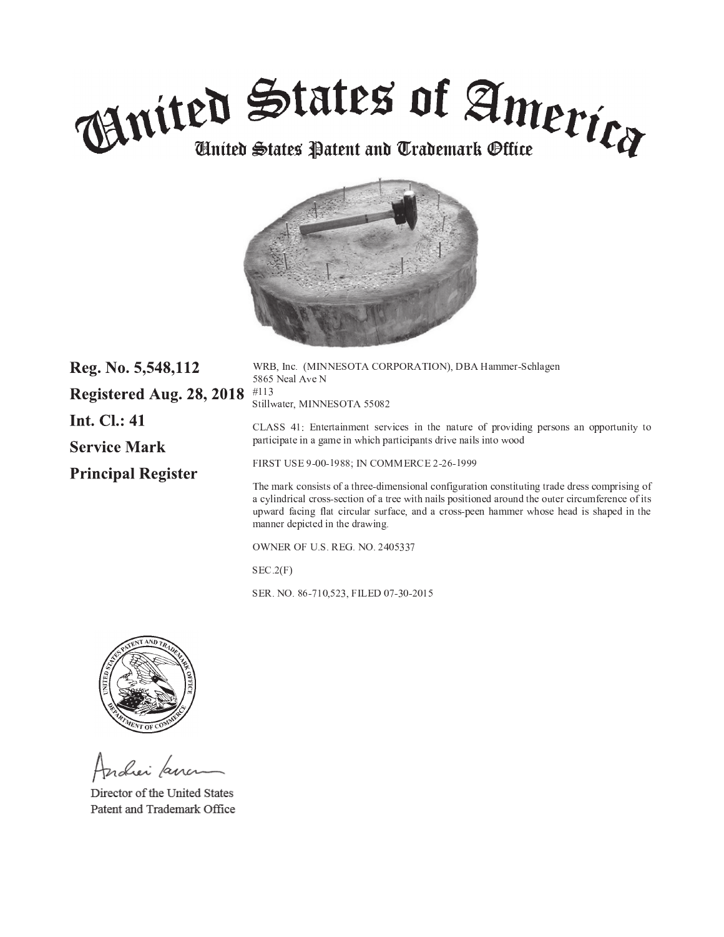



| Reg. No. 5,548,112        | WRB, Inc. (MINNESOTA CORPORATION), DBA Hammer-Schlagen<br>5865 Neal Ave N                                                                                                                                                                                                                                                         |  |
|---------------------------|-----------------------------------------------------------------------------------------------------------------------------------------------------------------------------------------------------------------------------------------------------------------------------------------------------------------------------------|--|
| Registered Aug. 28, 2018  | #113<br>Stillwater, MINNESOTA 55082                                                                                                                                                                                                                                                                                               |  |
| <b>Int. Cl.: 41</b>       | CLASS 41: Entertainment services in the nature of providing persons an opportunity to                                                                                                                                                                                                                                             |  |
| <b>Service Mark</b>       | participate in a game in which participants drive nails into wood                                                                                                                                                                                                                                                                 |  |
| <b>Principal Register</b> | FIRST USE 9-00-1988; IN COMMERCE 2-26-1999                                                                                                                                                                                                                                                                                        |  |
|                           | The mark consists of a three-dimensional configuration constituting trade dress comprising of<br>a cylindrical cross-section of a tree with nails positioned around the outer circumference of its<br>upward facing flat circular surface, and a cross-peen hammer whose head is shaped in the<br>manner depicted in the drawing. |  |
|                           | <b>OWNER OF U.S. REG. NO. 2405337</b>                                                                                                                                                                                                                                                                                             |  |
|                           |                                                                                                                                                                                                                                                                                                                                   |  |

 $SEC.2(F)$ 

SER. NO. 86-710,523, FILED 07-30-2015



Andrei Lanc

Director of the United States Patent and Trademark Office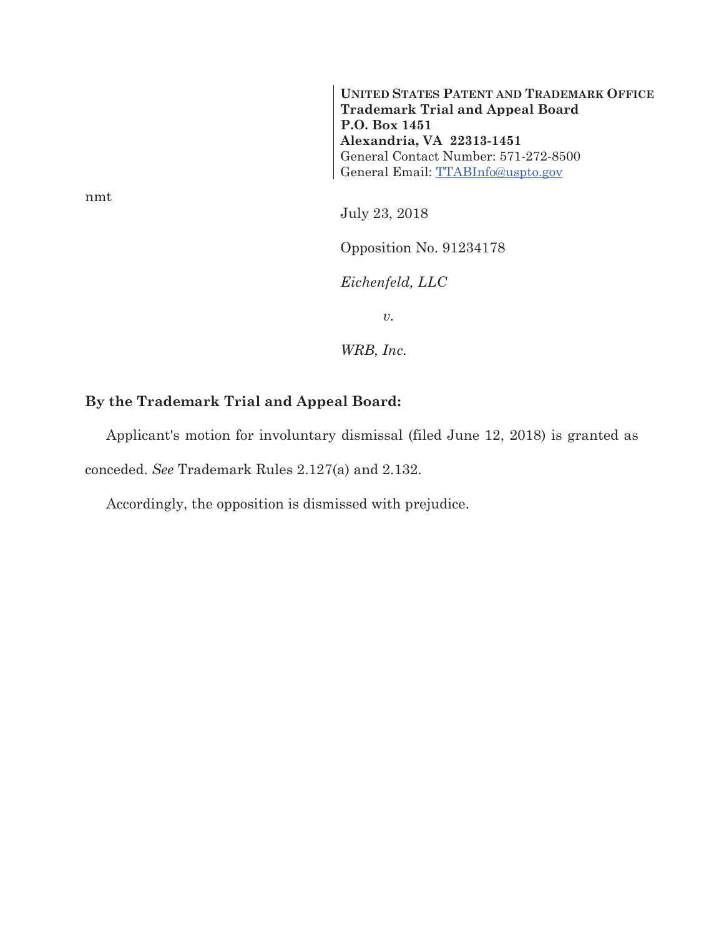**UNITED STATES PATENT AND TRADEMARK OFFICE Trademark Trial and Appeal Board P.O. Box 1451 Alexandria, VA 22313-1451**  General Contact Number: 571-272-8500 General Email: TTABInfo@uspto.gov

July 23, 2018

Opposition No. 91234178

*Eichenfeld, LLC* 

 $\upsilon.$ 

*WRB, Inc.* 

## **By the Trademark Trial and Appeal Board:**

Applicant's motion for involuntary dismissal (filed June 12, 2018) is granted as conceded. *See* Trademark Rules 2.127(a) and 2.132.

Accordingly, the opposition is dismissed with prejudice.

nmt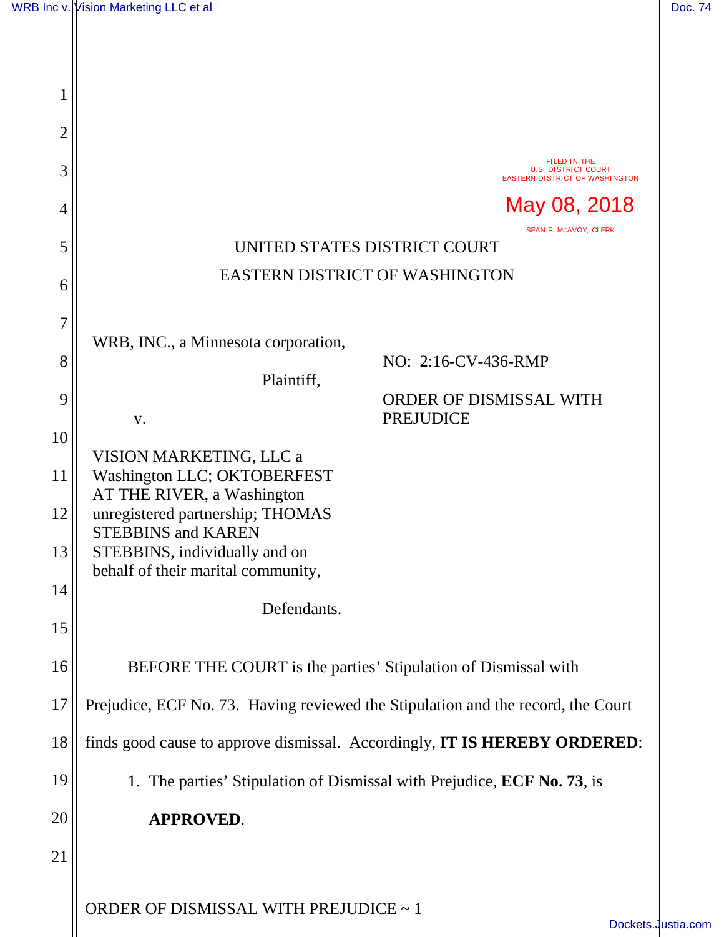| 1  |                                                                                             |                                                                                     |  |
|----|---------------------------------------------------------------------------------------------|-------------------------------------------------------------------------------------|--|
| 2  |                                                                                             |                                                                                     |  |
| 3  |                                                                                             | FILED IN THE<br><b>U.S. DISTRICT COURT</b><br><b>EASTERN DISTRICT OF WASHINGTON</b> |  |
| 4  |                                                                                             | May 08, 2018                                                                        |  |
| 5  | SEAN F. MCAVOY, CLERK<br>UNITED STATES DISTRICT COURT                                       |                                                                                     |  |
| 6  | <b>EASTERN DISTRICT OF WASHINGTON</b>                                                       |                                                                                     |  |
| 7  |                                                                                             |                                                                                     |  |
| 8  | WRB, INC., a Minnesota corporation,                                                         | NO: 2:16-CV-436-RMP                                                                 |  |
| 9  | Plaintiff,                                                                                  | ORDER OF DISMISSAL WITH                                                             |  |
| 10 | V.                                                                                          | <b>PREJUDICE</b>                                                                    |  |
| 11 | VISION MARKETING, LLC a<br>Washington LLC; OKTOBERFEST                                      |                                                                                     |  |
| 12 | AT THE RIVER, a Washington<br>unregistered partnership; THOMAS<br><b>STEBBINS and KAREN</b> |                                                                                     |  |
| 13 | STEBBINS, individually and on<br>behalf of their marital community,                         |                                                                                     |  |
| 14 | Defendants.                                                                                 |                                                                                     |  |
| 15 |                                                                                             |                                                                                     |  |
| 16 | BEFORE THE COURT is the parties' Stipulation of Dismissal with                              |                                                                                     |  |
| 17 |                                                                                             | Prejudice, ECF No. 73. Having reviewed the Stipulation and the record, the Court    |  |
| 18 |                                                                                             | finds good cause to approve dismissal. Accordingly, IT IS HEREBY ORDERED:           |  |
| 19 |                                                                                             | 1. The parties' Stipulation of Dismissal with Prejudice, ECF No. 73, is             |  |
| 20 | <b>APPROVED.</b>                                                                            |                                                                                     |  |
| 21 |                                                                                             |                                                                                     |  |
|    | ORDER OF DISMISSAL WITH PREJUDICE ~ 1                                                       | <b>Dockets</b>                                                                      |  |